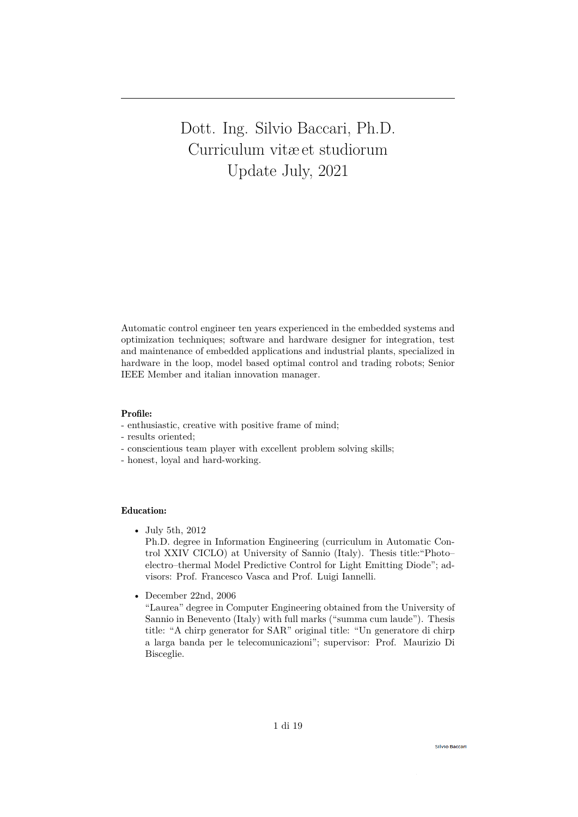Dott. Ing. Silvio Baccari, Ph.D. Curriculum vitæ et studiorum Update July, 2021

Automatic control engineer ten years experienced in the embedded systems and optimization techniques; software and hardware designer for integration, test and maintenance of embedded applications and industrial plants, specialized in hardware in the loop, model based optimal control and trading robots; Senior IEEE Member and italian innovation manager.

## Profile:

- enthusiastic, creative with positive frame of mind;
- results oriented;
- conscientious team player with excellent problem solving skills;
- honest, loyal and hard-working.

# Education:

• July 5th, 2012

Ph.D. degree in Information Engineering (curriculum in Automatic Control XXIV CICLO) at University of Sannio (Italy). Thesis title:"Photo– electro–thermal Model Predictive Control for Light Emitting Diode"; advisors: Prof. Francesco Vasca and Prof. Luigi Iannelli.

• December 22nd, 2006

"Laurea" degree in Computer Engineering obtained from the University of Sannio in Benevento (Italy) with full marks ("summa cum laude"). Thesis title: "A chirp generator for SAR" original title: "Un generatore di chirp a larga banda per le telecomunicazioni"; supervisor: Prof. Maurizio Di Bisceglie.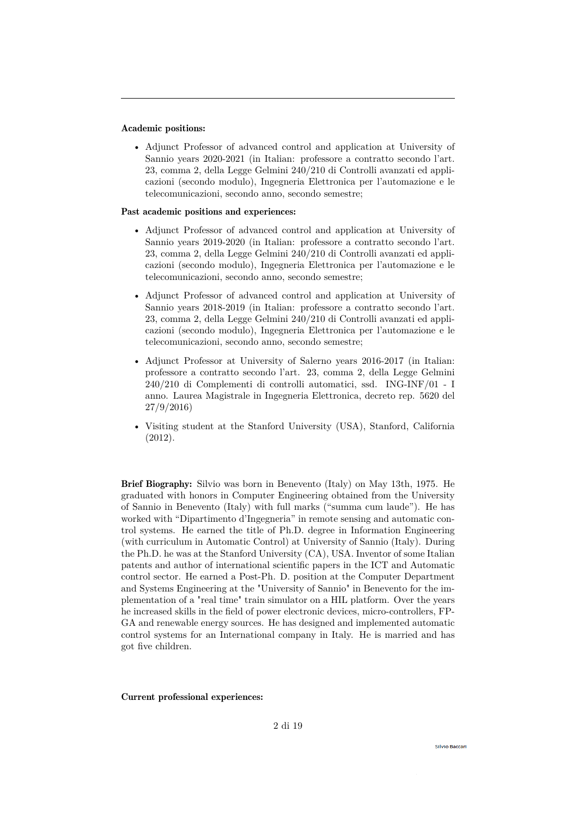## Academic positions:

• Adjunct Professor of advanced control and application at University of Sannio years 2020-2021 (in Italian: professore a contratto secondo l'art. 23, comma 2, della Legge Gelmini 240/210 di Controlli avanzati ed applicazioni (secondo modulo), Ingegneria Elettronica per l'automazione e le telecomunicazioni, secondo anno, secondo semestre;

#### Past academic positions and experiences:

- Adjunct Professor of advanced control and application at University of Sannio years 2019-2020 (in Italian: professore a contratto secondo l'art. 23, comma 2, della Legge Gelmini 240/210 di Controlli avanzati ed applicazioni (secondo modulo), Ingegneria Elettronica per l'automazione e le telecomunicazioni, secondo anno, secondo semestre;
- Adjunct Professor of advanced control and application at University of Sannio years 2018-2019 (in Italian: professore a contratto secondo l'art. 23, comma 2, della Legge Gelmini 240/210 di Controlli avanzati ed applicazioni (secondo modulo), Ingegneria Elettronica per l'automazione e le telecomunicazioni, secondo anno, secondo semestre;
- Adjunct Professor at University of Salerno years 2016-2017 (in Italian: professore a contratto secondo l'art. 23, comma 2, della Legge Gelmini 240/210 di Complementi di controlli automatici, ssd. ING-INF/01 - I anno. Laurea Magistrale in Ingegneria Elettronica, decreto rep. 5620 del 27/9/2016)
- Visiting student at the Stanford University (USA), Stanford, California (2012).

Brief Biography: Silvio was born in Benevento (Italy) on May 13th, 1975. He graduated with honors in Computer Engineering obtained from the University of Sannio in Benevento (Italy) with full marks ("summa cum laude"). He has worked with "Dipartimento d'Ingegneria" in remote sensing and automatic control systems. He earned the title of Ph.D. degree in Information Engineering (with curriculum in Automatic Control) at University of Sannio (Italy). During the Ph.D. he was at the Stanford University (CA), USA. Inventor of some Italian patents and author of international scientific papers in the ICT and Automatic control sector. He earned a Post-Ph. D. position at the Computer Department and Systems Engineering at the "University of Sannio" in Benevento for the implementation of a "real time" train simulator on a HIL platform. Over the years he increased skills in the field of power electronic devices, micro-controllers, FP-GA and renewable energy sources. He has designed and implemented automatic control systems for an International company in Italy. He is married and has got five children.

#### Current professional experiences: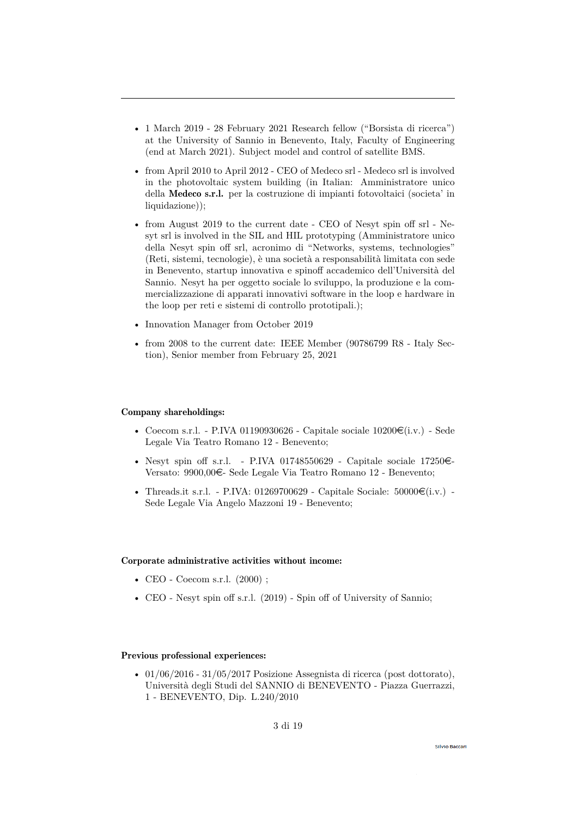- 1 March 2019 28 February 2021 Research fellow ("Borsista di ricerca") at the University of Sannio in Benevento, Italy, Faculty of Engineering (end at March 2021). Subject model and control of satellite BMS.
- from April 2010 to April 2012 CEO of Medeco srl Medeco srl is involved in the photovoltaic system building (in Italian: Amministratore unico della Medeco s.r.l. per la costruzione di impianti fotovoltaici (societa' in liquidazione));
- from August 2019 to the current date CEO of Nesyt spin off srl Nesyt srl is involved in the SIL and HIL prototyping (Amministratore unico della Nesyt spin off srl, acronimo di "Networks, systems, technologies" (Reti, sistemi, tecnologie), è una società a responsabilità limitata con sede in Benevento, startup innovativa e spinoff accademico dell'Università del Sannio. Nesyt ha per oggetto sociale lo sviluppo, la produzione e la commercializzazione di apparati innovativi software in the loop e hardware in the loop per reti e sistemi di controllo prototipali.);
- Innovation Manager from October 2019
- from 2008 to the current date: IEEE Member (90786799 R8 Italy Section), Senior member from February 25, 2021

#### Company shareholdings:

- Coecom s.r.l. P.IVA 01190930626 Capitale sociale  $10200\mathfrak{C}(i.v.)$  Sede Legale Via Teatro Romano 12 - Benevento;
- Nesyt spin off s.r.l. P.IVA 01748550629 Capitale sociale 17250 $\in$ Versato: 9900,00e- Sede Legale Via Teatro Romano 12 - Benevento;
- Threads.it s.r.l. P.IVA: 01269700629 Capitale Sociale:  $50000\mathcal{E}(i.v.)$  -Sede Legale Via Angelo Mazzoni 19 - Benevento;

#### Corporate administrative activities without income:

- CEO Coecom s.r.l. (2000) ;
- CEO Nesyt spin off s.r.l. (2019) Spin off of University of Sannio;

# Previous professional experiences:

• 01/06/2016 - 31/05/2017 Posizione Assegnista di ricerca (post dottorato), Università degli Studi del SANNIO di BENEVENTO - Piazza Guerrazzi, 1 - BENEVENTO, Dip. L.240/2010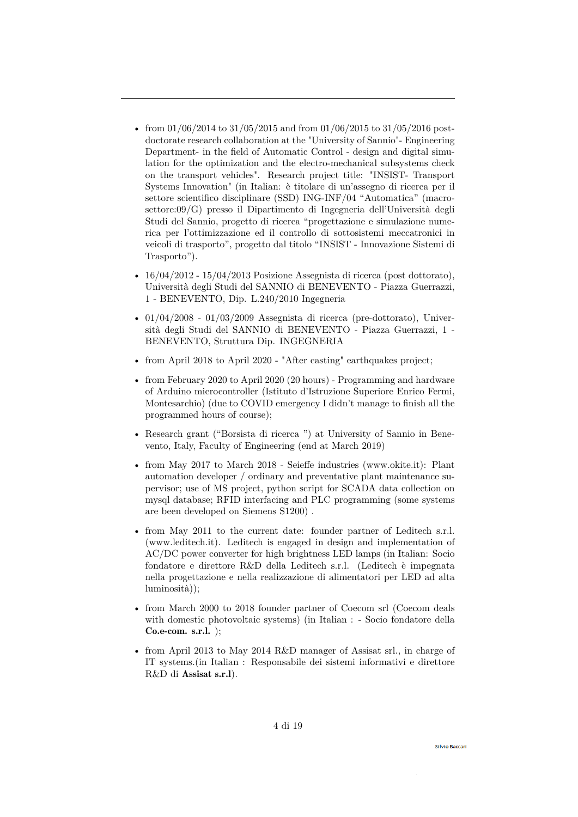- from  $01/06/2014$  to  $31/05/2015$  and from  $01/06/2015$  to  $31/05/2016$  postdoctorate research collaboration at the "University of Sannio"- Engineering Department- in the field of Automatic Control - design and digital simulation for the optimization and the electro-mechanical subsystems check on the transport vehicles". Research project title: "INSIST- Transport Systems Innovation" (in Italian: è titolare di un'assegno di ricerca per il settore scientifico disciplinare (SSD) ING-INF/04 "Automatica" (macrosettore:09/G) presso il Dipartimento di Ingegneria dell'Università degli Studi del Sannio, progetto di ricerca "progettazione e simulazione numerica per l'ottimizzazione ed il controllo di sottosistemi meccatronici in veicoli di trasporto", progetto dal titolo "INSIST - Innovazione Sistemi di Trasporto").
- 16/04/2012 15/04/2013 Posizione Assegnista di ricerca (post dottorato), Università degli Studi del SANNIO di BENEVENTO - Piazza Guerrazzi, 1 - BENEVENTO, Dip. L.240/2010 Ingegneria
- $01/04/2008$   $01/03/2009$  Assegnista di ricerca (pre-dottorato), Università degli Studi del SANNIO di BENEVENTO - Piazza Guerrazzi, 1 - BENEVENTO, Struttura Dip. INGEGNERIA
- from April 2018 to April 2020 "After casting" earthquakes project;
- from February 2020 to April 2020 (20 hours) Programming and hardware of Arduino microcontroller (Istituto d'Istruzione Superiore Enrico Fermi, Montesarchio) (due to COVID emergency I didn't manage to finish all the programmed hours of course);
- Research grant ("Borsista di ricerca ") at University of Sannio in Benevento, Italy, Faculty of Engineering (end at March 2019)
- from May 2017 to March 2018 Seieffe industries (www.okite.it): Plant automation developer / ordinary and preventative plant maintenance supervisor; use of MS project, python script for SCADA data collection on mysql database; RFID interfacing and PLC programming (some systems are been developed on Siemens S1200) .
- from May 2011 to the current date: founder partner of Leditech s.r.l. (www.leditech.it). Leditech is engaged in design and implementation of AC/DC power converter for high brightness LED lamps (in Italian: Socio fondatore e direttore R&D della Leditech s.r.l. (Leditech è impegnata nella progettazione e nella realizzazione di alimentatori per LED ad alta luminosità));
- from March 2000 to 2018 founder partner of Coecom srl (Coecom deals with domestic photovoltaic systems) (in Italian : - Socio fondatore della Co.e-com. s.r.l. );
- from April 2013 to May 2014 R&D manager of Assisat srl., in charge of IT systems.(in Italian : Responsabile dei sistemi informativi e direttore R&D di Assisat s.r.l).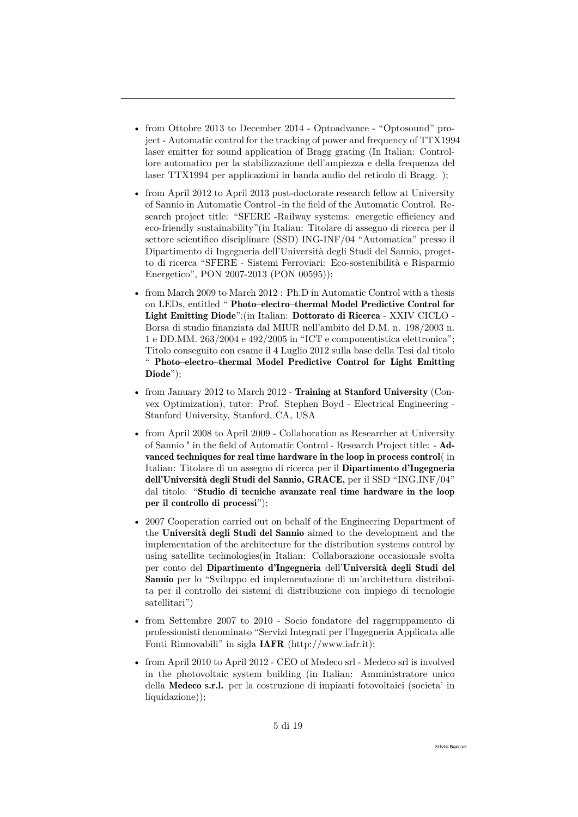- from Ottobre 2013 to December 2014 Optoadvance "Optosound" project - Automatic control for the tracking of power and frequency of TTX1994 laser emitter for sound application of Bragg grating (In Italian: Controllore automatico per la stabilizzazione dell'ampiezza e della frequenza del laser TTX1994 per applicazioni in banda audio del reticolo di Bragg. );
- from April 2012 to April 2013 post-doctorate research fellow at University of Sannio in Automatic Control -in the field of the Automatic Control. Research project title: "SFERE -Railway systems: energetic efficiency and eco-friendly sustainability"(in Italian: Titolare di assegno di ricerca per il settore scientifico disciplinare (SSD) ING-INF/04 "Automatica" presso il Dipartimento di Ingegneria dell'Università degli Studi del Sannio, progetto di ricerca "SFERE - Sistemi Ferroviari: Eco-sostenibilità e Risparmio Energetico", PON 2007-2013 (PON 00595));
- from March 2009 to March 2012 : Ph.D in Automatic Control with a thesis on LEDs, entitled " Photo–electro–thermal Model Predictive Control for Light Emitting Diode";(in Italian: Dottorato di Ricerca - XXIV CICLO - Borsa di studio finanziata dal MIUR nell'ambito del D.M. n. 198/2003 n. 1 e DD.MM. 263/2004 e 492/2005 in "ICT e componentistica elettronica"; Titolo conseguito con esame il 4 Luglio 2012 sulla base della Tesi dal titolo " Photo–electro–thermal Model Predictive Control for Light Emitting Diode");
- from January 2012 to March 2012 **Training at Stanford University** (Convex Optimization), tutor: Prof. Stephen Boyd - Electrical Engineering - Stanford University, Stanford, CA, USA
- from April 2008 to April 2009 Collaboration as Researcher at University of Sannio " in the field of Automatic Control - Research Project title: - Advanced techniques for real time hardware in the loop in process control( in Italian: Titolare di un assegno di ricerca per il Dipartimento d'Ingegneria dell'Università degli Studi del Sannio, GRACE, per il SSD "ING.INF/04" dal titolo: "Studio di tecniche avanzate real time hardware in the loop per il controllo di processi");
- 2007 Cooperation carried out on behalf of the Engineering Department of the Università degli Studi del Sannio aimed to the development and the implementation of the architecture for the distribution systems control by using satellite technologies(in Italian: Collaborazione occasionale svolta per conto del Dipartimento d'Ingegneria dell'Università degli Studi del Sannio per lo "Sviluppo ed implementazione di un'architettura distribuita per il controllo dei sistemi di distribuzione con impiego di tecnologie satellitari")
- from Settembre 2007 to 2010 Socio fondatore del raggruppamento di professionisti denominato "Servizi Integrati per l'Ingegneria Applicata alle Fonti Rinnovabili" in sigla IAFR (http://www.iafr.it);
- from April 2010 to April 2012 CEO of Medeco srl Medeco srl is involved in the photovoltaic system building (in Italian: Amministratore unico della Medeco s.r.l. per la costruzione di impianti fotovoltaici (societa' in liquidazione));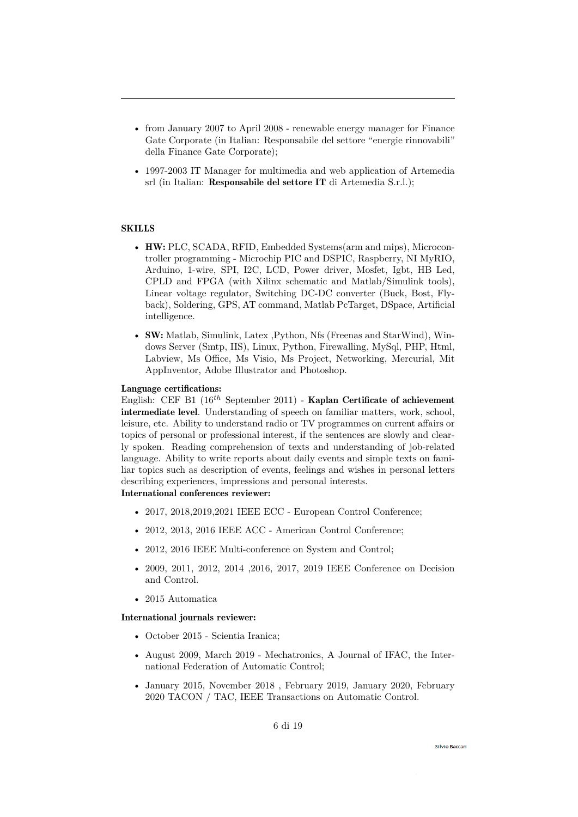- from January 2007 to April 2008 renewable energy manager for Finance Gate Corporate (in Italian: Responsabile del settore "energie rinnovabili" della Finance Gate Corporate);
- 1997-2003 IT Manager for multimedia and web application of Artemedia srl (in Italian: Responsabile del settore IT di Artemedia S.r.l.);

# **SKILLS**

- HW: PLC, SCADA, RFID, Embedded Systems(arm and mips), Microcontroller programming - Microchip PIC and DSPIC, Raspberry, NI MyRIO, Arduino, 1-wire, SPI, I2C, LCD, Power driver, Mosfet, Igbt, HB Led, CPLD and FPGA (with Xilinx schematic and Matlab/Simulink tools), Linear voltage regulator, Switching DC-DC converter (Buck, Bost, Flyback), Soldering, GPS, AT command, Matlab PcTarget, DSpace, Artificial intelligence.
- SW: Matlab, Simulink, Latex ,Python, Nfs (Freenas and StarWind), Windows Server (Smtp, IIS), Linux, Python, Firewalling, MySql, PHP, Html, Labview, Ms Office, Ms Visio, Ms Project, Networking, Mercurial, Mit AppInventor, Adobe Illustrator and Photoshop.

# Language certifications:

English: CEF B1 (16*th* September 2011) - Kaplan Certificate of achievement intermediate level. Understanding of speech on familiar matters, work, school, leisure, etc. Ability to understand radio or TV programmes on current affairs or topics of personal or professional interest, if the sentences are slowly and clearly spoken. Reading comprehension of texts and understanding of job-related language. Ability to write reports about daily events and simple texts on familiar topics such as description of events, feelings and wishes in personal letters describing experiences, impressions and personal interests. International conferences reviewer:

- 2017, 2018, 2019, 2021 IEEE ECC European Control Conference;
- 2012, 2013, 2016 IEEE ACC American Control Conference;
- 2012, 2016 IEEE Multi-conference on System and Control;
- 2009, 2011, 2012, 2014 ,2016, 2017, 2019 IEEE Conference on Decision and Control.
- 2015 Automatica

#### International journals reviewer:

- October 2015 Scientia Iranica;
- August 2009, March 2019 Mechatronics, A Journal of IFAC, the International Federation of Automatic Control;
- January 2015, November 2018 , February 2019, January 2020, February 2020 TACON / TAC, IEEE Transactions on Automatic Control.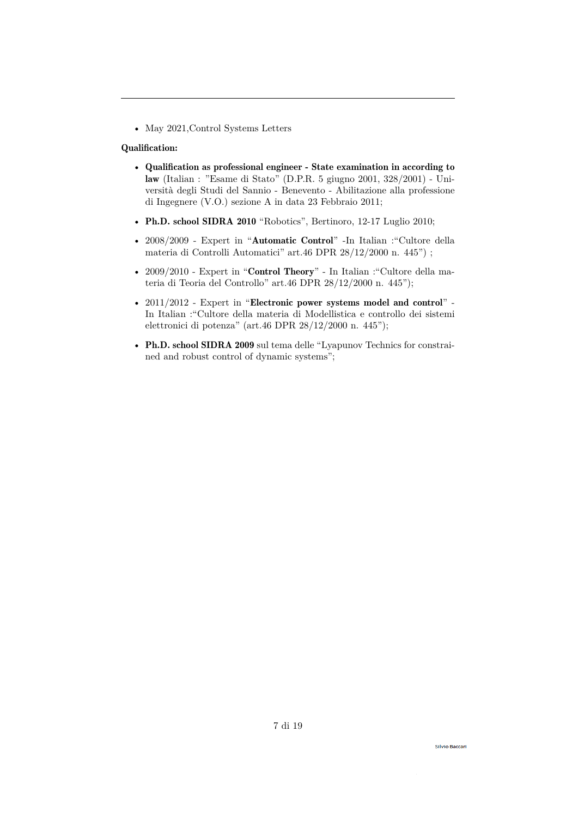• May 2021,Control Systems Letters

# Qualification:

- Qualification as professional engineer State examination in according to law (Italian : "Esame di Stato" (D.P.R. 5 giugno 2001, 328/2001) - Università degli Studi del Sannio - Benevento - Abilitazione alla professione di Ingegnere (V.O.) sezione A in data 23 Febbraio 2011;
- Ph.D. school SIDRA 2010 "Robotics", Bertinoro, 12-17 Luglio 2010;
- 2008/2009 Expert in "Automatic Control" -In Italian :"Cultore della materia di Controlli Automatici" art.46 DPR 28/12/2000 n. 445") ;
- 2009/2010 Expert in "**Control Theory**" In Italian : "Cultore della materia di Teoria del Controllo" art.46 DPR 28/12/2000 n. 445");
- $2011/2012$  Expert in "Electronic power systems model and control" -In Italian :"Cultore della materia di Modellistica e controllo dei sistemi elettronici di potenza" (art.46 DPR 28/12/2000 n. 445");
- Ph.D. school SIDRA 2009 sul tema delle "Lyapunov Technics for constrained and robust control of dynamic systems";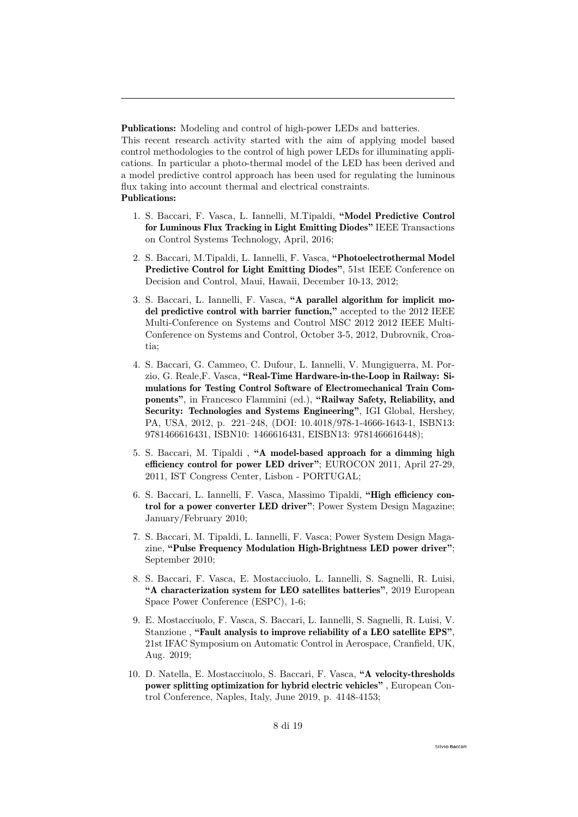Publications: Modeling and control of high-power LEDs and batteries.

This recent research activity started with the aim of applying model based control methodologies to the control of high power LEDs for illuminating applications. In particular a photo-thermal model of the LED has been derived and a model predictive control approach has been used for regulating the luminous flux taking into account thermal and electrical constraints. Publications:

- 1. S. Baccari, F. Vasca, L. Iannelli, M.Tipaldi, "Model Predictive Control for Luminous Flux Tracking in Light Emitting Diodes" IEEE Transactions on Control Systems Technology, April, 2016;
- 2. S. Baccari, M.Tipaldi, L. Iannelli, F. Vasca, "Photoelectrothermal Model Predictive Control for Light Emitting Diodes", 51st IEEE Conference on Decision and Control, Maui, Hawaii, December 10-13, 2012;
- 3. S. Baccari, L. Iannelli, F. Vasca, "A parallel algorithm for implicit model predictive control with barrier function," accepted to the 2012 IEEE Multi-Conference on Systems and Control MSC 2012 2012 IEEE Multi-Conference on Systems and Control, October 3-5, 2012, Dubrovnik, Croatia;
- 4. S. Baccari, G. Cammeo, C. Dufour, L. Iannelli, V. Mungiguerra, M. Porzio, G. Reale,F. Vasca, "Real-Time Hardware-in-the-Loop in Railway: Simulations for Testing Control Software of Electromechanical Train Components", in Francesco Flammini (ed.), "Railway Safety, Reliability, and Security: Technologies and Systems Engineering", IGI Global, Hershey, PA, USA, 2012, p. 221–248, (DOI: 10.4018/978-1-4666-1643-1, ISBN13: 9781466616431, ISBN10: 1466616431, EISBN13: 9781466616448);
- 5. S. Baccari, M. Tipaldi , "A model-based approach for a dimming high efficiency control for power LED driver"; EUROCON 2011, April 27-29, 2011, IST Congress Center, Lisbon - PORTUGAL;
- 6. S. Baccari, L. Iannelli, F. Vasca, Massimo Tipaldi, "High efficiency control for a power converter LED driver"; Power System Design Magazine; January/February 2010;
- 7. S. Baccari, M. Tipaldi, L. Iannelli, F. Vasca; Power System Design Magazine, "Pulse Frequency Modulation High-Brightness LED power driver"; September 2010;
- 8. S. Baccari, F. Vasca, E. Mostacciuolo, L. Iannelli, S. Sagnelli, R. Luisi, "A characterization system for LEO satellites batteries", 2019 European Space Power Conference (ESPC), 1-6;
- 9. E. Mostacciuolo, F. Vasca, S. Baccari, L. Iannelli, S. Sagnelli, R. Luisi, V. Stanzione , "Fault analysis to improve reliability of a LEO satellite EPS", 21st IFAC Symposium on Automatic Control in Aerospace, Cranfield, UK, Aug. 2019;
- 10. D. Natella, E. Mostacciuolo, S. Baccari, F. Vasca, "A velocity-thresholds power splitting optimization for hybrid electric vehicles" , European Control Conference, Naples, Italy, June 2019, p. 4148-4153;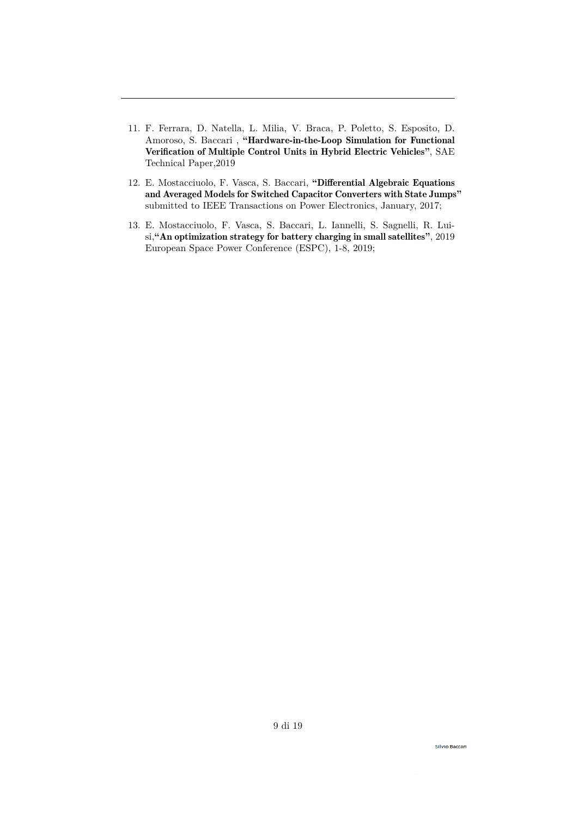- 11. F. Ferrara, D. Natella, L. Milia, V. Braca, P. Poletto, S. Esposito, D. Amoroso, S. Baccari , "Hardware-in-the-Loop Simulation for Functional Verification of Multiple Control Units in Hybrid Electric Vehicles", SAE Technical Paper,2019
- 12. E. Mostacciuolo, F. Vasca, S. Baccari, "Differential Algebraic Equations and Averaged Models for Switched Capacitor Converters with State Jumps" submitted to IEEE Transactions on Power Electronics, January, 2017;
- 13. E. Mostacciuolo, F. Vasca, S. Baccari, L. Iannelli, S. Sagnelli, R. Luisi,"An optimization strategy for battery charging in small satellites", 2019 European Space Power Conference (ESPC), 1-8, 2019;

**Silvio Baccari**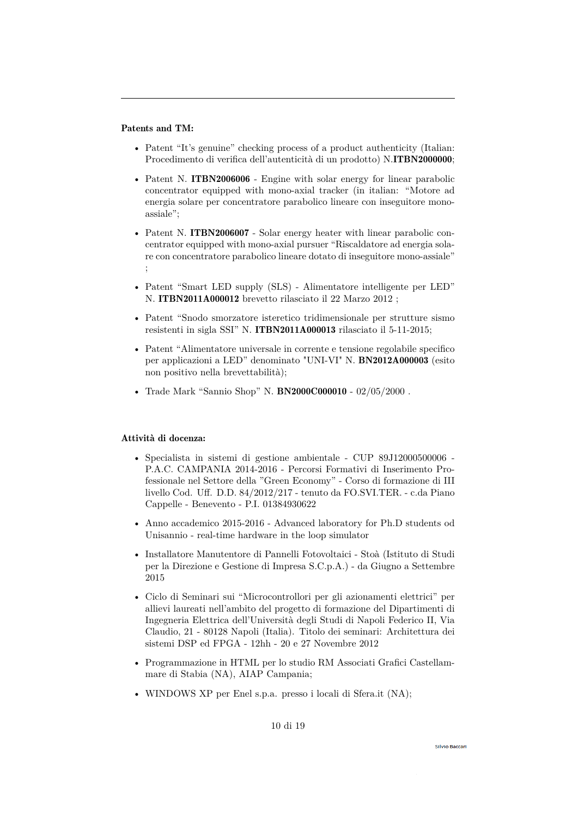# Patents and TM:

- Patent "It's genuine" checking process of a product authenticity (Italian: Procedimento di verifica dell'autenticità di un prodotto) N.ITBN2000000;
- Patent N. ITBN2006006 Engine with solar energy for linear parabolic concentrator equipped with mono-axial tracker (in italian: "Motore ad energia solare per concentratore parabolico lineare con inseguitore monoassiale";
- Patent N. ITBN2006007 Solar energy heater with linear parabolic concentrator equipped with mono-axial pursuer "Riscaldatore ad energia solare con concentratore parabolico lineare dotato di inseguitore mono-assiale" ;
- Patent "Smart LED supply (SLS) Alimentatore intelligente per LED" N. ITBN2011A000012 brevetto rilasciato il 22 Marzo 2012 ;
- Patent "Snodo smorzatore isteretico tridimensionale per strutture sismo resistenti in sigla SSI" N. ITBN2011A000013 rilasciato il 5-11-2015;
- Patent "Alimentatore universale in corrente e tensione regolabile specifico per applicazioni a LED" denominato "UNI-VI" N. BN2012A000003 (esito non positivo nella brevettabilità);
- Trade Mark "Sannio Shop" N. BN2000C000010 02/05/2000 .

## Attività di docenza:

- Specialista in sistemi di gestione ambientale CUP 89J12000500006 P.A.C. CAMPANIA 2014-2016 - Percorsi Formativi di Inserimento Professionale nel Settore della "Green Economy" - Corso di formazione di III livello Cod. Uff. D.D. 84/2012/217 - tenuto da FO.SVI.TER. - c.da Piano Cappelle - Benevento - P.I. 01384930622
- Anno accademico 2015-2016 Advanced laboratory for Ph.D students od Unisannio - real-time hardware in the loop simulator
- Installatore Manutentore di Pannelli Fotovoltaici Stoà (Istituto di Studi per la Direzione e Gestione di Impresa S.C.p.A.) - da Giugno a Settembre 2015
- Ciclo di Seminari sui "Microcontrollori per gli azionamenti elettrici" per allievi laureati nell'ambito del progetto di formazione del Dipartimenti di Ingegneria Elettrica dell'Università degli Studi di Napoli Federico II, Via Claudio, 21 - 80128 Napoli (Italia). Titolo dei seminari: Architettura dei sistemi DSP ed FPGA - 12hh - 20 e 27 Novembre 2012
- Programmazione in HTML per lo studio RM Associati Grafici Castellammare di Stabia (NA), AIAP Campania;
- WINDOWS XP per Enel s.p.a. presso i locali di Sfera.it (NA);

10 di 19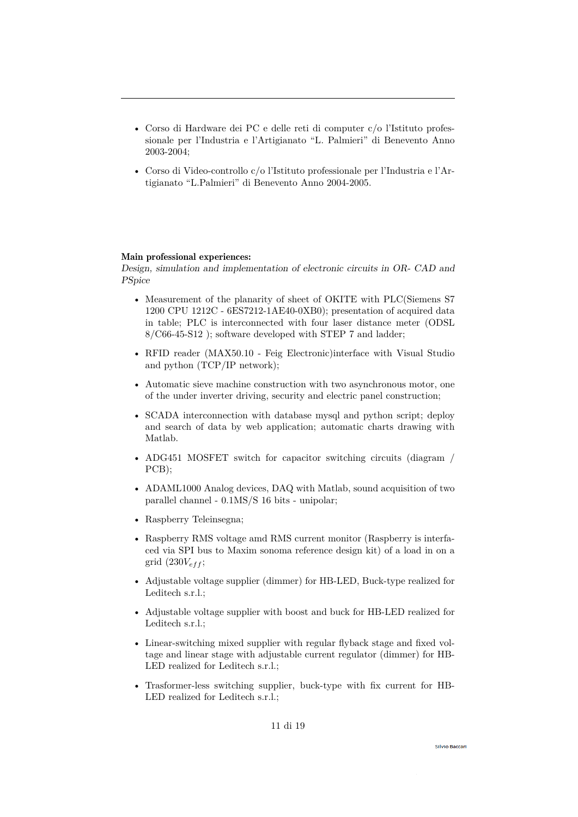- Corso di Hardware dei PC e delle reti di computer c/o l'Istituto professionale per l'Industria e l'Artigianato "L. Palmieri" di Benevento Anno 2003-2004;
- Corso di Video-controllo c/o l'Istituto professionale per l'Industria e l'Artigianato "L.Palmieri" di Benevento Anno 2004-2005.

# Main professional experiences:

Design, simulation and implementation of electronic circuits in OR- CAD and **PSpice** 

- Measurement of the planarity of sheet of OKITE with PLC(Siemens S7 1200 CPU 1212C - 6ES7212-1AE40-0XB0); presentation of acquired data in table; PLC is interconnected with four laser distance meter (ODSL 8/C66-45-S12 ); software developed with STEP 7 and ladder;
- RFID reader (MAX50.10 Feig Electronic) interface with Visual Studio and python (TCP/IP network);
- Automatic sieve machine construction with two asynchronous motor, one of the under inverter driving, security and electric panel construction;
- SCADA interconnection with database mysql and python script; deploy and search of data by web application; automatic charts drawing with Matlab.
- ADG451 MOSFET switch for capacitor switching circuits (diagram / PCB);
- ADAML1000 Analog devices, DAQ with Matlab, sound acquisition of two parallel channel - 0.1MS/S 16 bits - unipolar;
- Raspberry Teleinsegna;
- Raspberry RMS voltage amd RMS current monitor (Raspberry is interfaced via SPI bus to Maxim sonoma reference design kit) of a load in on a grid  $(230V<sub>eff</sub>)$ ;
- Adjustable voltage supplier (dimmer) for HB-LED, Buck-type realized for Leditech s.r.l.;
- Adjustable voltage supplier with boost and buck for HB-LED realized for Leditech s.r.l.;
- Linear-switching mixed supplier with regular flyback stage and fixed voltage and linear stage with adjustable current regulator (dimmer) for HB-LED realized for Leditech s.r.l.;
- Trasformer-less switching supplier, buck-type with fix current for HB-LED realized for Leditech s.r.l.;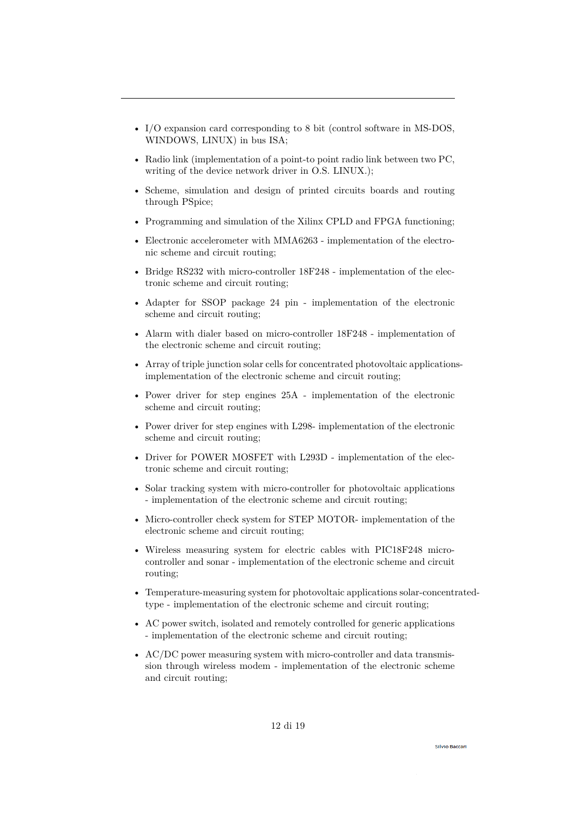- I/O expansion card corresponding to 8 bit (control software in MS-DOS, WINDOWS, LINUX) in bus ISA;
- Radio link (implementation of a point-to point radio link between two PC, writing of the device network driver in O.S. LINUX.);
- Scheme, simulation and design of printed circuits boards and routing through PSpice;
- Programming and simulation of the Xilinx CPLD and FPGA functioning;
- Electronic accelerometer with MMA6263 implementation of the electronic scheme and circuit routing;
- Bridge RS232 with micro-controller 18F248 implementation of the electronic scheme and circuit routing;
- Adapter for SSOP package 24 pin implementation of the electronic scheme and circuit routing;
- Alarm with dialer based on micro-controller 18F248 implementation of the electronic scheme and circuit routing;
- Array of triple junction solar cells for concentrated photovoltaic applicationsimplementation of the electronic scheme and circuit routing;
- Power driver for step engines 25A implementation of the electronic scheme and circuit routing;
- Power driver for step engines with L298- implementation of the electronic scheme and circuit routing;
- Driver for POWER MOSFET with L293D implementation of the electronic scheme and circuit routing;
- Solar tracking system with micro-controller for photovoltaic applications - implementation of the electronic scheme and circuit routing;
- Micro-controller check system for STEP MOTOR- implementation of the electronic scheme and circuit routing;
- Wireless measuring system for electric cables with PIC18F248 microcontroller and sonar - implementation of the electronic scheme and circuit routing;
- Temperature-measuring system for photovoltaic applications solar-concentratedtype - implementation of the electronic scheme and circuit routing;
- AC power switch, isolated and remotely controlled for generic applications - implementation of the electronic scheme and circuit routing;
- AC/DC power measuring system with micro-controller and data transmission through wireless modem - implementation of the electronic scheme and circuit routing;

**Silvio Baccar**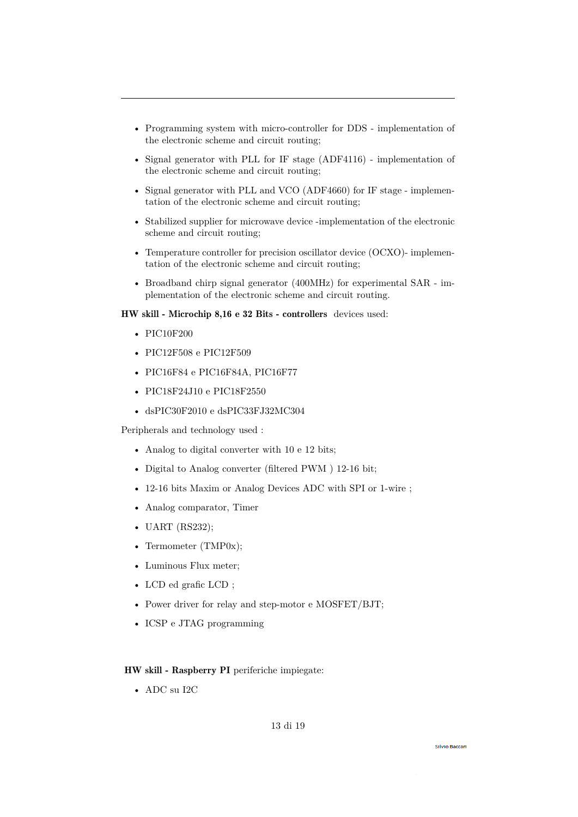- Programming system with micro-controller for DDS implementation of the electronic scheme and circuit routing;
- Signal generator with PLL for IF stage (ADF4116) implementation of the electronic scheme and circuit routing;
- Signal generator with PLL and VCO (ADF4660) for IF stage implementation of the electronic scheme and circuit routing;
- Stabilized supplier for microwave device -implementation of the electronic scheme and circuit routing;
- Temperature controller for precision oscillator device (OCXO)- implementation of the electronic scheme and circuit routing;
- Broadband chirp signal generator (400MHz) for experimental SAR implementation of the electronic scheme and circuit routing.

# HW skill - Microchip 8,16 e 32 Bits - controllers devices used:

- PIC10F200
- PIC12F508 e PIC12F509
- PIC16F84 e PIC16F84A, PIC16F77
- PIC18F24J10 e PIC18F2550
- dsPIC30F2010 e dsPIC33FJ32MC304

Peripherals and technology used :

- Analog to digital converter with 10 e 12 bits;
- Digital to Analog converter (filtered PWM ) 12-16 bit;
- 12-16 bits Maxim or Analog Devices ADC with SPI or 1-wire ;
- Analog comparator, Timer
- UART (RS232);
- Termometer (TMP0x);
- Luminous Flux meter;
- LCD ed grafic LCD ;
- Power driver for relay and step-motor e MOSFET/BJT;
- ICSP e JTAG programming

# HW skill - Raspberry PI periferiche impiegate:

• ADC su I2C

#### **Silvio Baccari**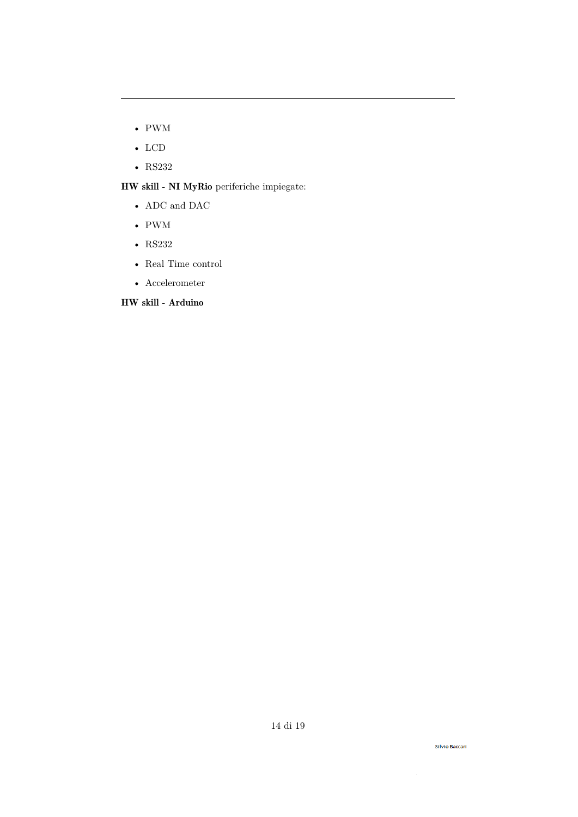- PWM
- LCD
- RS232

HW skill - NI MyRio periferiche impiegate:

- ADC and DAC
- PWM
- RS232
- Real Time control
- Accelerometer

HW skill - Arduino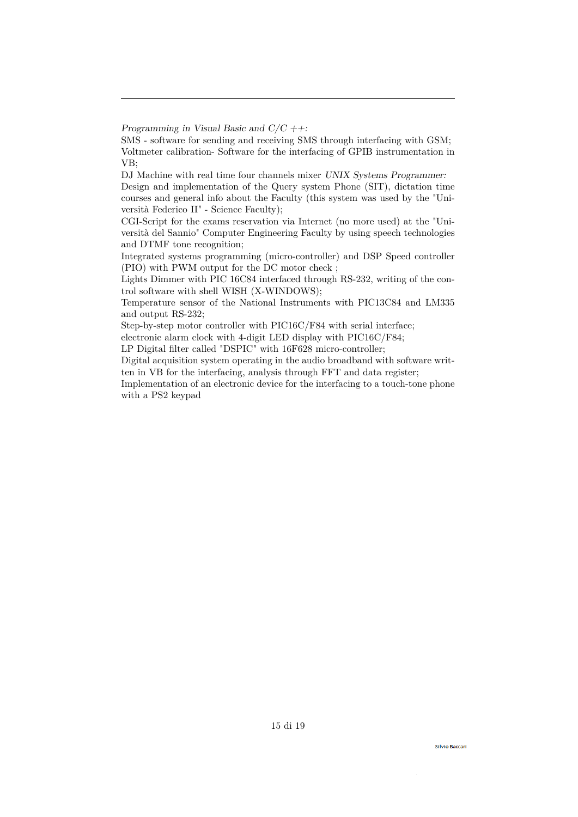Lights Dimmer with PIC 16C84 interfaced through RS-232, writing of the control software with shell WISH (X-WINDOWS);

Temperature sensor of the National Instruments with PIC13C84 and LM335 and output RS-232;

electronic alarm clock with 4-digit LED display with PIC16C/F84;

LP Digital filter called "DSPIC" with 16F628 micro-controller;

Digital acquisition system operating in the audio broadband with software written in VB for the interfacing, analysis through FFT and data register;

Implementation of an electronic device for the interfacing to a touch-tone phone with a PS2 keypad

Programming in Visual Basic and  $C/C + \dagger$ :

SMS - software for sending and receiving SMS through interfacing with GSM; Voltmeter calibration- Software for the interfacing of GPIB instrumentation in VB;

DJ Machine with real time four channels mixer UNIX Systems Programmer: Design and implementation of the Query system Phone (SIT), dictation time courses and general info about the Faculty (this system was used by the "Università Federico II" - Science Faculty);

CGI-Script for the exams reservation via Internet (no more used) at the "Università del Sannio" Computer Engineering Faculty by using speech technologies and DTMF tone recognition;

Integrated systems programming (micro-controller) and DSP Speed controller (PIO) with PWM output for the DC motor check ;

Step-by-step motor controller with PIC16C/F84 with serial interface;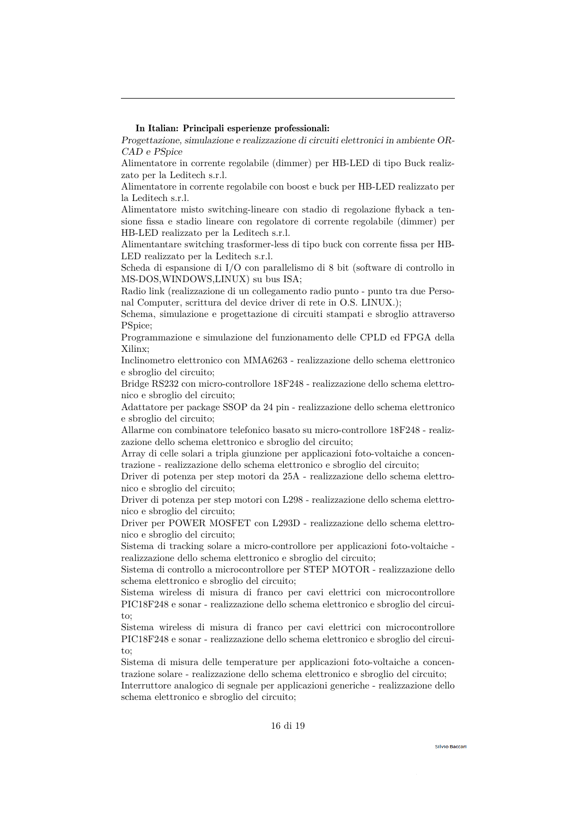# In Italian: Principali esperienze professionali:

Progettazione, simulazione e realizzazione di circuiti elettronici in ambiente OR-CAD e PSpice

Alimentatore in corrente regolabile (dimmer) per HB-LED di tipo Buck realizzato per la Leditech s.r.l.

Alimentatore in corrente regolabile con boost e buck per HB-LED realizzato per la Leditech s.r.l.

Alimentatore misto switching-lineare con stadio di regolazione flyback a tensione fissa e stadio lineare con regolatore di corrente regolabile (dimmer) per HB-LED realizzato per la Leditech s.r.l.

Alimentantare switching trasformer-less di tipo buck con corrente fissa per HB-LED realizzato per la Leditech s.r.l.

Scheda di espansione di I/O con parallelismo di 8 bit (software di controllo in MS-DOS,WINDOWS,LINUX) su bus ISA;

Radio link (realizzazione di un collegamento radio punto - punto tra due Personal Computer, scrittura del device driver di rete in O.S. LINUX.);

Schema, simulazione e progettazione di circuiti stampati e sbroglio attraverso PSpice;

Programmazione e simulazione del funzionamento delle CPLD ed FPGA della Xilinx;

Inclinometro elettronico con MMA6263 - realizzazione dello schema elettronico e sbroglio del circuito;

Bridge RS232 con micro-controllore 18F248 - realizzazione dello schema elettronico e sbroglio del circuito;

Adattatore per package SSOP da 24 pin - realizzazione dello schema elettronico e sbroglio del circuito;

Allarme con combinatore telefonico basato su micro-controllore 18F248 - realizzazione dello schema elettronico e sbroglio del circuito;

Array di celle solari a tripla giunzione per applicazioni foto-voltaiche a concentrazione - realizzazione dello schema elettronico e sbroglio del circuito;

Driver di potenza per step motori da 25A - realizzazione dello schema elettronico e sbroglio del circuito;

Driver di potenza per step motori con L298 - realizzazione dello schema elettronico e sbroglio del circuito;

Driver per POWER MOSFET con L293D - realizzazione dello schema elettronico e sbroglio del circuito;

Sistema di tracking solare a micro-controllore per applicazioni foto-voltaiche realizzazione dello schema elettronico e sbroglio del circuito;

Sistema di controllo a microcontrollore per STEP MOTOR - realizzazione dello schema elettronico e sbroglio del circuito;

Sistema wireless di misura di franco per cavi elettrici con microcontrollore PIC18F248 e sonar - realizzazione dello schema elettronico e sbroglio del circuito;

Sistema wireless di misura di franco per cavi elettrici con microcontrollore PIC18F248 e sonar - realizzazione dello schema elettronico e sbroglio del circuito;

Sistema di misura delle temperature per applicazioni foto-voltaiche a concentrazione solare - realizzazione dello schema elettronico e sbroglio del circuito;

Interruttore analogico di segnale per applicazioni generiche - realizzazione dello schema elettronico e sbroglio del circuito;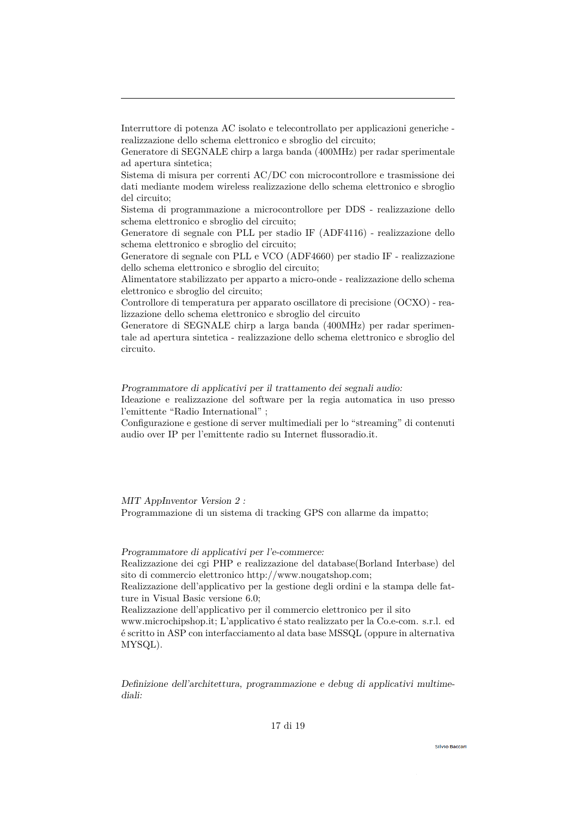Interruttore di potenza AC isolato e telecontrollato per applicazioni generiche realizzazione dello schema elettronico e sbroglio del circuito;

Generatore di SEGNALE chirp a larga banda (400MHz) per radar sperimentale ad apertura sintetica;

Sistema di misura per correnti AC/DC con microcontrollore e trasmissione dei dati mediante modem wireless realizzazione dello schema elettronico e sbroglio del circuito;

Sistema di programmazione a microcontrollore per DDS - realizzazione dello schema elettronico e sbroglio del circuito;

Generatore di segnale con PLL per stadio IF (ADF4116) - realizzazione dello schema elettronico e sbroglio del circuito;

Generatore di segnale con PLL e VCO (ADF4660) per stadio IF - realizzazione dello schema elettronico e sbroglio del circuito;

Alimentatore stabilizzato per apparto a micro-onde - realizzazione dello schema elettronico e sbroglio del circuito;

Controllore di temperatura per apparato oscillatore di precisione (OCXO) - realizzazione dello schema elettronico e sbroglio del circuito

Generatore di SEGNALE chirp a larga banda (400MHz) per radar sperimentale ad apertura sintetica - realizzazione dello schema elettronico e sbroglio del circuito.

Programmatore di applicativi per il trattamento dei segnali audio:

Ideazione e realizzazione del software per la regia automatica in uso presso l'emittente "Radio International" ;

Configurazione e gestione di server multimediali per lo "streaming" di contenuti audio over IP per l'emittente radio su Internet flussoradio.it.

MIT AppInventor Version 2 : Programmazione di un sistema di tracking GPS con allarme da impatto;

Programmatore di applicativi per l'e-commerce:

Realizzazione dei cgi PHP e realizzazione del database(Borland Interbase) del sito di commercio elettronico http://www.nougatshop.com;

Realizzazione dell'applicativo per la gestione degli ordini e la stampa delle fatture in Visual Basic versione 6.0;

Realizzazione dell'applicativo per il commercio elettronico per il sito

www.microchipshop.it; L'applicativo é stato realizzato per la Co.e-com. s.r.l. ed é scritto in ASP con interfacciamento al data base MSSQL (oppure in alternativa MYSQL).

Definizione dell'architettura, programmazione e debug di applicativi multimediali: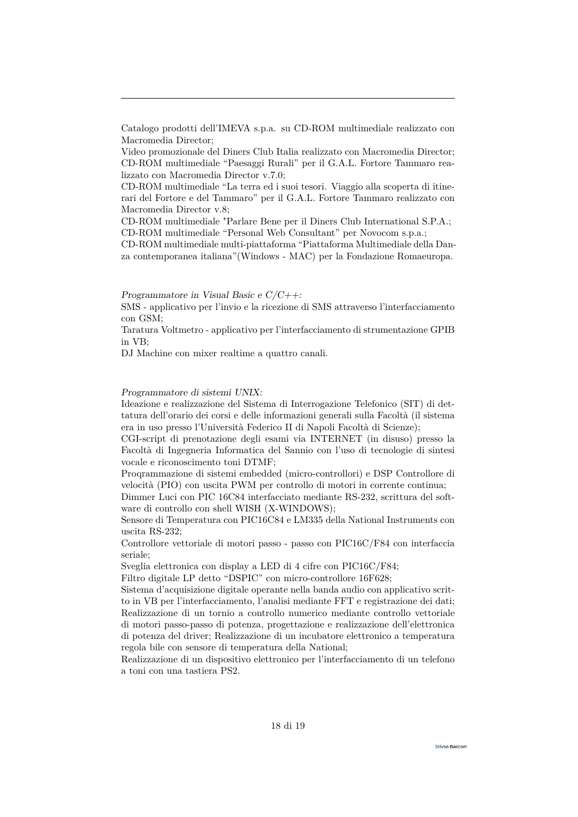Video promozionale del Diners Club Italia realizzato con Macromedia Director; CD-ROM multimediale "Paesaggi Rurali" per il G.A.L. Fortore Tammaro realizzato con Macromedia Director v.7.0;

CD-ROM multimediale "La terra ed i suoi tesori. Viaggio alla scoperta di itinerari del Fortore e del Tammaro" per il G.A.L. Fortore Tammaro realizzato con Macromedia Director v.8;

CD-ROM multimediale "Parlare Bene per il Diners Club International S.P.A.; CD-ROM multimediale "Personal Web Consultant" per Novocom s.p.a.;

CD-ROM multimediale multi-piattaforma "Piattaforma Multimediale della Danza contemporanea italiana"(Windows - MAC) per la Fondazione Romaeuropa.

Programmatore in Visual Basic e  $C/C_{++}$ :

SMS - applicativo per l'invio e la ricezione di SMS attraverso l'interfacciamento con GSM;

Taratura Voltmetro - applicativo per l'interfacciamento di strumentazione GPIB in VB;

DJ Machine con mixer realtime a quattro canali.

## Programmatore di sistemi UNIX:

Ideazione e realizzazione del Sistema di Interrogazione Telefonico (SIT) di dettatura dell'orario dei corsi e delle informazioni generali sulla Facoltà (il sistema era in uso presso l'Università Federico II di Napoli Facoltà di Scienze);

CGI-script di prenotazione degli esami via INTERNET (in disuso) presso la Facoltà di Ingegneria Informatica del Sannio con l'uso di tecnologie di sintesi vocale e riconoscimento toni DTMF;

Proqrammazione di sistemi embedded (micro-controllori) e DSP Controllore di velocità (PIO) con uscita PWM per controllo di motori in corrente continua;

Dimmer Luci con PIC 16C84 interfacciato mediante RS-232, scrittura del software di controllo con shell WISH (X-WINDOWS);

Sensore di Temperatura con PIC16C84 e LM335 della National Instruments con uscita RS-232;

Controllore vettoriale di motori passo - passo con PIC16C/F84 con interfaccia seriale;

Sveglia elettronica con display a LED di 4 cifre con PIC16C/F84;

Filtro digitale LP detto "DSPIC" con micro-controllore 16F628;

Sistema d'acquisizione digitale operante nella banda audio con applicativo scritto in VB per l'interfacciamento, l'analisi mediante FFT e registrazione dei dati; Realizzazione di un tornio a controllo numerico mediante controllo vettoriale di motori passo-passo di potenza, progettazione e realizzazione dell'elettronica di potenza del driver; Realizzazione di un incubatore elettronico a temperatura regola bile con sensore di temperatura della National;

Realizzazione di un dispositivo elettronico per l'interfacciamento di un telefono a toni con una tastiera PS2.

Catalogo prodotti dell'IMEVA s.p.a. su CD-ROM multimediale realizzato con Macromedia Director;